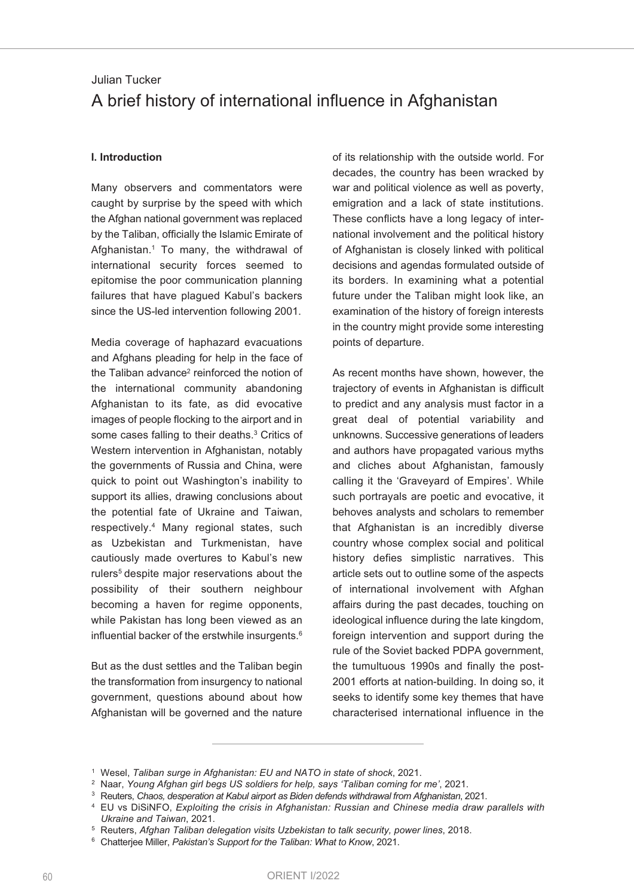# Julian Tucker A brief history of international influence in Afghanistan

### **I. Introduction**

Many observers and commentators were caught by surprise by the speed with which the Afghan national government was replaced by the Taliban, officially the Islamic Emirate of Afghanistan. <sup>1</sup> To many, the withdrawal of international security forces seemed to epitomise the poor communication planning failures that have plagued Kabul's backers since the US-led intervention following 2001.

Media coverage of haphazard evacuations and Afghans pleading for help in the face of the Taliban advance<sup>2</sup> reinforced the notion of the international community abandoning Afghanistan to its fate, as did evocative images of people flocking to the airport and in some cases falling to their deaths. <sup>3</sup> Critics of Western intervention in Afghanistan, notably the governments of Russia and China, were quick to point out Washington's inability to support its allies, drawing conclusions about the potential fate of Ukraine and Taiwan, respectively. <sup>4</sup> Many regional states, such as Uzbekistan and Turkmenistan, have cautiously made overtures to Kabul's new rulers<sup>5</sup> despite major reservations about the possibility of their southern neighbour becoming a haven for regime opponents, while Pakistan has long been viewed as an influential backer of the erstwhile insurgents. 6

But as the dust settles and the Taliban begin the transformation from insurgency to national government, questions abound about how Afghanistan will be governed and the nature of its relationship with the outside world. For decades, the country has been wracked by war and political violence as well as poverty, emigration and a lack of state institutions. These conflicts have a long legacy of international involvement and the political history of Afghanistan is closely linked with political decisions and agendas formulated outside of its borders. In examining what a potential future under the Taliban might look like, an examination of the history of foreign interests in the country might provide some interesting points of departure.

As recent months have shown, however, the trajectory of events in Afghanistan is difficult to predict and any analysis must factor in a great deal of potential variability and unknowns. Successive generations of leaders and authors have propagated various myths and cliches about Afghanistan, famously calling it the 'Graveyard of Empires'. While such portrayals are poetic and evocative, it behoves analysts and scholars to remember that Afghanistan is an incredibly diverse country whose complex social and political history defies simplistic narratives. This article sets out to outline some of the aspects of international involvement with Afghan affairs during the past decades, touching on ideological influence during the late kingdom, foreign intervention and support during the rule of the Soviet backed PDPA government, the tumultuous 1990s and finally the post-2001 efforts at nation-building. In doing so, it seeks to identify some key themes that have characterised international influence in the

<sup>1</sup> Wesel, *Taliban surge in Afghanistan: EU and NATO in state of shock*, 2021.

<sup>2</sup> Naar, *Young Afghan girl begs US soldiers for help, says 'Taliban coming for me'*, 2021.

<sup>3</sup> Reuters, *Chaos, desperation at Kabul airport as Biden defends withdrawal from Afghanistan*, 2021.

<sup>4</sup> EU vs DiSiNFO, *Exploiting the crisis in Afghanistan: Russian and Chinese media draw parallels with Ukraine and Taiwan*, 2021.

<sup>5</sup> Reuters, *Afghan Taliban delegation visits Uzbekistan to talk security, power lines*, 2018.

<sup>6</sup> Chatterjee Miller, *Pakistan's Support for the Taliban: What to Know*, 2021.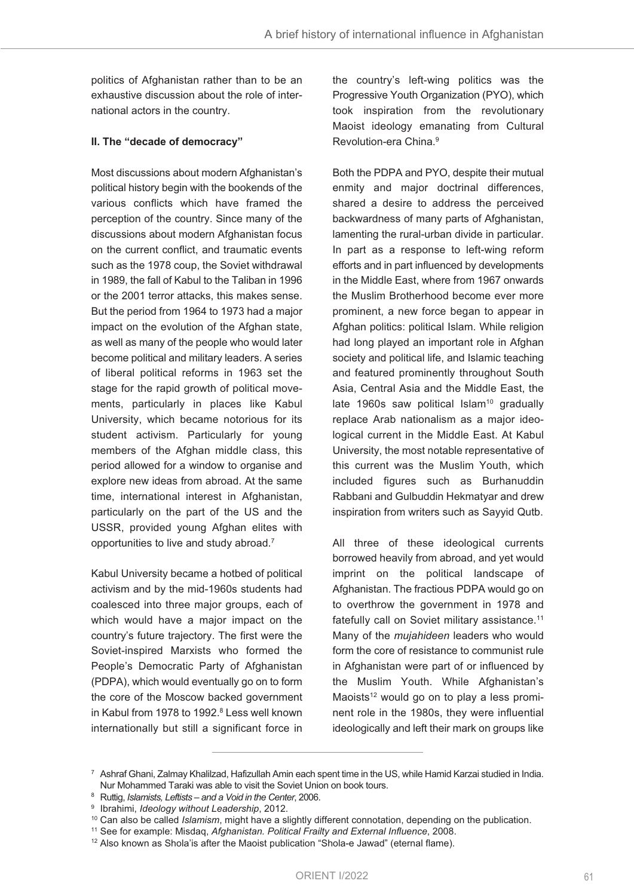politics of Afghanistan rather than to be an exhaustive discussion about the role of international actors in the country.

### **II. The "decade of democracy"**

Most discussions about modern Afghanistan's political history begin with the bookends of the various conflicts which have framed the perception of the country. Since many of the discussions about modern Afghanistan focus on the current conflict, and traumatic events such as the 1978 coup, the Soviet withdrawal in 1989, the fall of Kabul to the Taliban in 1996 or the 2001 terror attacks, this makes sense. But the period from 1964 to 1973 had a major impact on the evolution of the Afghan state, as well as many of the people who would later become political and military leaders. A series of liberal political reforms in 1963 set the stage for the rapid growth of political movements, particularly in places like Kabul University, which became notorious for its student activism. Particularly for young members of the Afghan middle class, this period allowed for a window to organise and explore new ideas from abroad. At the same time, international interest in Afghanistan, particularly on the part of the US and the USSR, provided young Afghan elites with opportunities to live and study abroad. 7

Kabul University became a hotbed of political activism and by the mid-1960s students had coalesced into three major groups, each of which would have a major impact on the country's future trajectory. The first were the Soviet-inspired Marxists who formed the People's Democratic Party of Afghanistan (PDPA), which would eventually go on to form the core of the Moscow backed government in Kabul from 1978 to 1992. <sup>8</sup> Less well known internationally but still a significant force in

the country's left-wing politics was the Progressive Youth Organization (PYO), which took inspiration from the revolutionary Maoist ideology emanating from Cultural Revolution-era China. 9

Both the PDPA and PYO, despite their mutual enmity and major doctrinal differences, shared a desire to address the perceived backwardness of many parts of Afghanistan, lamenting the rural-urban divide in particular. In part as a response to left-wing reform efforts and in part influenced by developments in the Middle East, where from 1967 onwards the Muslim Brotherhood become ever more prominent, a new force began to appear in Afghan politics: political Islam. While religion had long played an important role in Afghan society and political life, and Islamic teaching and featured prominently throughout South Asia, Central Asia and the Middle East, the late 1960s saw political Islam<sup>10</sup> gradually replace Arab nationalism as a major ideological current in the Middle East. At Kabul University, the most notable representative of this current was the Muslim Youth, which included figures such as Burhanuddin Rabbani and Gulbuddin Hekmatyar and drew inspiration from writers such as Sayyid Qutb.

All three of these ideological currents borrowed heavily from abroad, and yet would imprint on the political landscape of Afghanistan. The fractious PDPA would go on to overthrow the government in 1978 and fatefully call on Soviet military assistance. 11 Many of the *mujahideen* leaders who would form the core of resistance to communist rule in Afghanistan were part of or influenced by the Muslim Youth. While Afghanistan's Maoists<sup>12</sup> would go on to play a less prominent role in the 1980s, they were influential ideologically and left their mark on groups like

 $7$  Ashraf Ghani, Zalmay Khalilzad, Hafizullah Amin each spent time in the US, while Hamid Karzai studied in India. Nur Mohammed Taraki was able to visit the Soviet Union on book tours.

<sup>8</sup> Ruttig, *Islamists, Leftists – and a Void in the Center*, 2006.

<sup>9</sup> Ibrahimi, *Ideology without Leadership*, 2012.

<sup>10</sup> Can also be called *Islamism*, might have a slightly different connotation, depending on the publication.

<sup>11</sup> See for example: Misdaq, *Afghanistan. Political Frailty and External Influence*, 2008.

<sup>&</sup>lt;sup>12</sup> Also known as Shola'is after the Maoist publication "Shola-e Jawad" (eternal flame).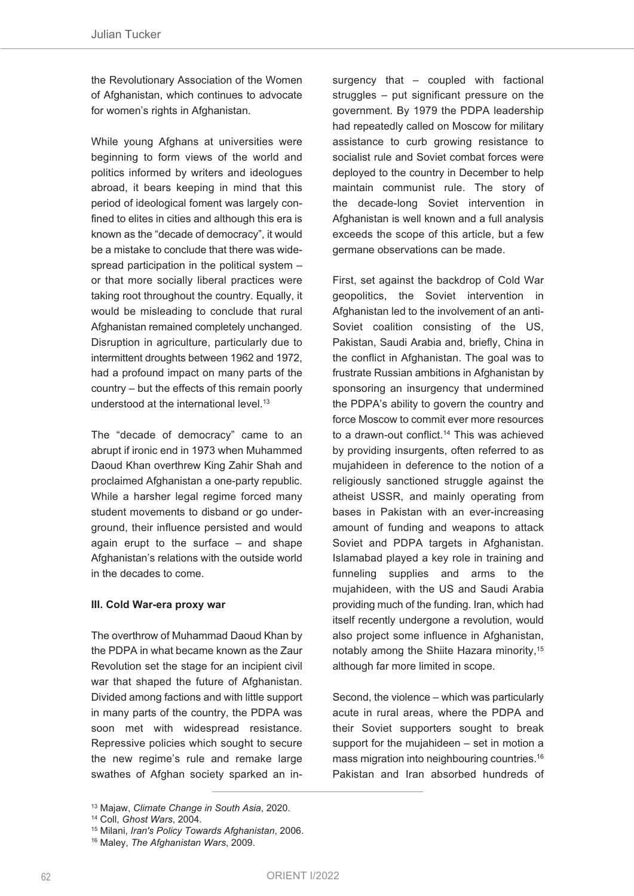the Revolutionary Association of the Women of Afghanistan, which continues to advocate for women's rights in Afghanistan.

While young Afghans at universities were beginning to form views of the world and politics informed by writers and ideologues abroad, it bears keeping in mind that this period of ideological foment was largely confined to elites in cities and although this era is known as the "decade of democracy", it would be a mistake to conclude that there was widespread participation in the political system – or that more socially liberal practices were taking root throughout the country. Equally, it would be misleading to conclude that rural Afghanistan remained completely unchanged. Disruption in agriculture, particularly due to intermittent droughts between 1962 and 1972, had a profound impact on many parts of the country – but the effects of this remain poorly understood at the international level. 13

The "decade of democracy" came to an abrupt if ironic end in 1973 when Muhammed Daoud Khan overthrew King Zahir Shah and proclaimed Afghanistan a one-party republic. While a harsher legal regime forced many student movements to disband or go underground, their influence persisted and would again erupt to the surface – and shape Afghanistan's relations with the outside world in the decades to come.

#### **III. Cold War-era proxy war**

The overthrow of Muhammad Daoud Khan by the PDPA in what became known as the Zaur Revolution set the stage for an incipient civil war that shaped the future of Afghanistan. Divided among factions and with little support in many parts of the country, the PDPA was soon met with widespread resistance. Repressive policies which sought to secure the new regime's rule and remake large swathes of Afghan society sparked an insurgency that – coupled with factional struggles – put significant pressure on the government. By 1979 the PDPA leadership had repeatedly called on Moscow for military assistance to curb growing resistance to socialist rule and Soviet combat forces were deployed to the country in December to help maintain communist rule. The story of the decade-long Soviet intervention in Afghanistan is well known and a full analysis exceeds the scope of this article, but a few germane observations can be made.

First, set against the backdrop of Cold War geopolitics, the Soviet intervention in Afghanistan led to the involvement of an anti-Soviet coalition consisting of the US, Pakistan, Saudi Arabia and, briefly, China in the conflict in Afghanistan. The goal was to frustrate Russian ambitions in Afghanistan by sponsoring an insurgency that undermined the PDPA's ability to govern the country and force Moscow to commit ever more resources to a drawn-out conflict. <sup>14</sup> This was achieved by providing insurgents, often referred to as mujahideen in deference to the notion of a religiously sanctioned struggle against the atheist USSR, and mainly operating from bases in Pakistan with an ever-increasing amount of funding and weapons to attack Soviet and PDPA targets in Afghanistan. Islamabad played a key role in training and funneling supplies and arms to the mujahideen, with the US and Saudi Arabia providing much of the funding. Iran, which had itself recently undergone a revolution, would also project some influence in Afghanistan, notably among the Shiite Hazara minority, 15 although far more limited in scope.

Second, the violence – which was particularly acute in rural areas, where the PDPA and their Soviet supporters sought to break support for the mujahideen – set in motion a mass migration into neighbouring countries. 16 Pakistan and Iran absorbed hundreds of

<sup>13</sup> Majaw, *Climate Change in South Asia*, 2020.

<sup>14</sup> Coll, *Ghost Wars*, 2004.

<sup>15</sup> Milani, *Iran's Policy Towards Afghanistan*, 2006.

<sup>16</sup> Maley, *The Afghanistan Wars*, 2009.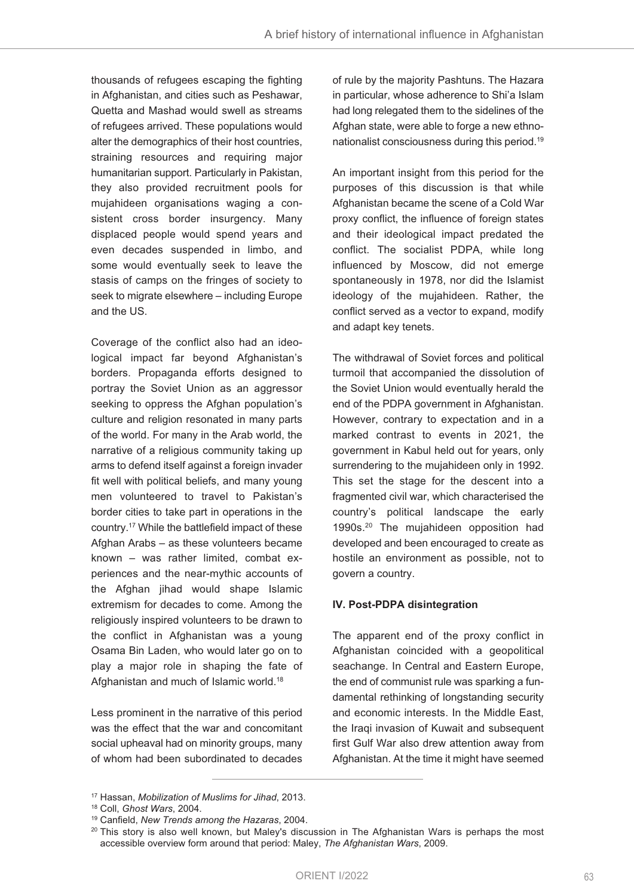thousands of refugees escaping the fighting in Afghanistan, and cities such as Peshawar, Quetta and Mashad would swell as streams of refugees arrived. These populations would alter the demographics of their host countries, straining resources and requiring major humanitarian support. Particularly in Pakistan, they also provided recruitment pools for mujahideen organisations waging a consistent cross border insurgency. Many displaced people would spend years and even decades suspended in limbo, and some would eventually seek to leave the stasis of camps on the fringes of society to seek to migrate elsewhere – including Europe and the US.

Coverage of the conflict also had an ideological impact far beyond Afghanistan's borders. Propaganda efforts designed to portray the Soviet Union as an aggressor seeking to oppress the Afghan population's culture and religion resonated in many parts of the world. For many in the Arab world, the narrative of a religious community taking up arms to defend itself against a foreign invader fit well with political beliefs, and many young men volunteered to travel to Pakistan's border cities to take part in operations in the country. <sup>17</sup> While the battlefield impact of these Afghan Arabs – as these volunteers became known – was rather limited, combat experiences and the near-mythic accounts of the Afghan jihad would shape Islamic extremism for decades to come. Among the religiously inspired volunteers to be drawn to the conflict in Afghanistan was a young Osama Bin Laden, who would later go on to play a major role in shaping the fate of Afghanistan and much of Islamic world. 18

Less prominent in the narrative of this period was the effect that the war and concomitant social upheaval had on minority groups, many of whom had been subordinated to decades

of rule by the majority Pashtuns. The Hazara in particular, whose adherence to Shi'a Islam had long relegated them to the sidelines of the Afghan state, were able to forge a new ethnonationalist consciousness during this period. 19

An important insight from this period for the purposes of this discussion is that while Afghanistan became the scene of a Cold War proxy conflict, the influence of foreign states and their ideological impact predated the conflict. The socialist PDPA, while long influenced by Moscow, did not emerge spontaneously in 1978, nor did the Islamist ideology of the mujahideen. Rather, the conflict served as a vector to expand, modify and adapt key tenets.

The withdrawal of Soviet forces and political turmoil that accompanied the dissolution of the Soviet Union would eventually herald the end of the PDPA government in Afghanistan. However, contrary to expectation and in a marked contrast to events in 2021, the government in Kabul held out for years, only surrendering to the mujahideen only in 1992. This set the stage for the descent into a fragmented civil war, which characterised the country's political landscape the early 1990s. <sup>20</sup> The mujahideen opposition had developed and been encouraged to create as hostile an environment as possible, not to govern a country.

#### **IV. Post-PDPA disintegration**

The apparent end of the proxy conflict in Afghanistan coincided with a geopolitical seachange. In Central and Eastern Europe, the end of communist rule was sparking a fundamental rethinking of longstanding security and economic interests. In the Middle East, the Iraqi invasion of Kuwait and subsequent first Gulf War also drew attention away from Afghanistan. At the time it might have seemed

<sup>17</sup> Hassan, *Mobilization of Muslims for Jihad*, 2013.

<sup>18</sup> Coll, *Ghost Wars*, 2004.

<sup>19</sup> Canfield, *New Trends among the Hazaras*, 2004.

<sup>&</sup>lt;sup>20</sup> This story is also well known, but Maley's discussion in The Afghanistan Wars is perhaps the most accessible overview form around that period: Maley, *The Afghanistan Wars*, 2009.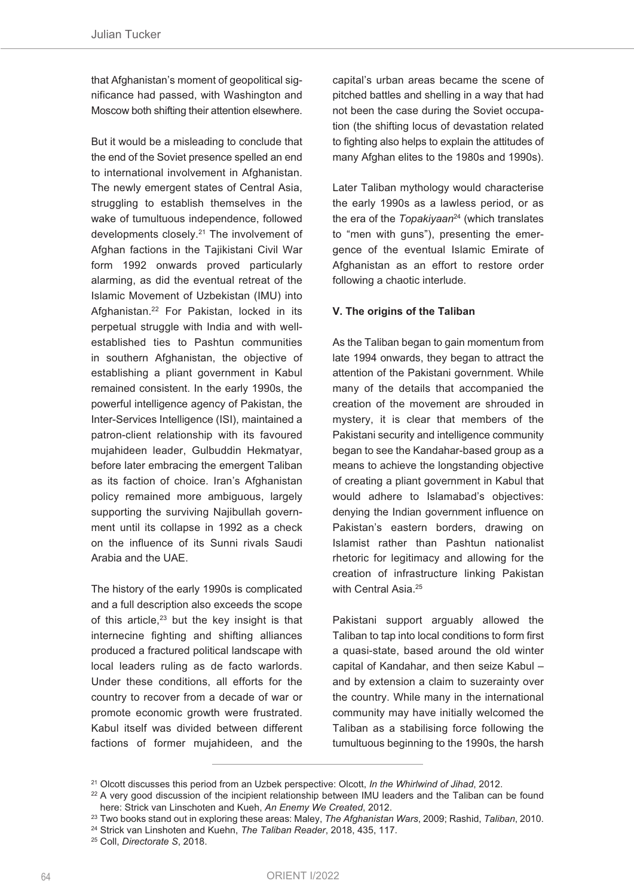that Afghanistan's moment of geopolitical significance had passed, with Washington and Moscow both shifting their attention elsewhere.

But it would be a misleading to conclude that the end of the Soviet presence spelled an end to international involvement in Afghanistan. The newly emergent states of Central Asia, struggling to establish themselves in the wake of tumultuous independence, followed developments closely. <sup>21</sup> The involvement of Afghan factions in the Tajikistani Civil War form 1992 onwards proved particularly alarming, as did the eventual retreat of the Islamic Movement of Uzbekistan (IMU) into Afghanistan. <sup>22</sup> For Pakistan, locked in its perpetual struggle with India and with wellestablished ties to Pashtun communities in southern Afghanistan, the objective of establishing a pliant government in Kabul remained consistent. In the early 1990s, the powerful intelligence agency of Pakistan, the Inter-Services Intelligence (ISI), maintained a patron-client relationship with its favoured mujahideen leader, Gulbuddin Hekmatyar, before later embracing the emergent Taliban as its faction of choice. Iran's Afghanistan policy remained more ambiguous, largely supporting the surviving Najibullah government until its collapse in 1992 as a check on the influence of its Sunni rivals Saudi Arabia and the UAE.

The history of the early 1990s is complicated and a full description also exceeds the scope of this article, <sup>23</sup> but the key insight is that internecine fighting and shifting alliances produced a fractured political landscape with local leaders ruling as de facto warlords. Under these conditions, all efforts for the country to recover from a decade of war or promote economic growth were frustrated. Kabul itself was divided between different factions of former mujahideen, and the

capital's urban areas became the scene of pitched battles and shelling in a way that had not been the case during the Soviet occupation (the shifting locus of devastation related to fighting also helps to explain the attitudes of many Afghan elites to the 1980s and 1990s).

Later Taliban mythology would characterise the early 1990s as a lawless period, or as the era of the *Topakiyaan*<sup>24</sup> (which translates to "men with guns"), presenting the emergence of the eventual Islamic Emirate of Afghanistan as an effort to restore order following a chaotic interlude.

#### **V. The origins of the Taliban**

As the Taliban began to gain momentum from late 1994 onwards, they began to attract the attention of the Pakistani government. While many of the details that accompanied the creation of the movement are shrouded in mystery, it is clear that members of the Pakistani security and intelligence community began to see the Kandahar-based group as a means to achieve the longstanding objective of creating a pliant government in Kabul that would adhere to Islamabad's objectives: denying the Indian government influence on Pakistan's eastern borders, drawing on Islamist rather than Pashtun nationalist rhetoric for legitimacy and allowing for the creation of infrastructure linking Pakistan with Central Asia.<sup>25</sup>

Pakistani support arguably allowed the Taliban to tap into local conditions to form first a quasi-state, based around the old winter capital of Kandahar, and then seize Kabul – and by extension a claim to suzerainty over the country. While many in the international community may have initially welcomed the Taliban as a stabilising force following the tumultuous beginning to the 1990s, the harsh

<sup>21</sup> Olcott discusses this period from an Uzbek perspective: Olcott, *In the Whirlwind of Jihad*, 2012.

<sup>&</sup>lt;sup>22</sup> A very good discussion of the incipient relationship between IMU leaders and the Taliban can be found here: Strick van Linschoten and Kueh, *An Enemy We Created*, 2012.

<sup>23</sup> Two books stand out in exploring these areas: Maley, *The Afghanistan Wars*, 2009; Rashid, *Taliban*, 2010.

<sup>24</sup> Strick van Linshoten and Kuehn, *The Taliban Reader*, 2018, 435, 117.

<sup>25</sup> Coll, *Directorate S*, 2018.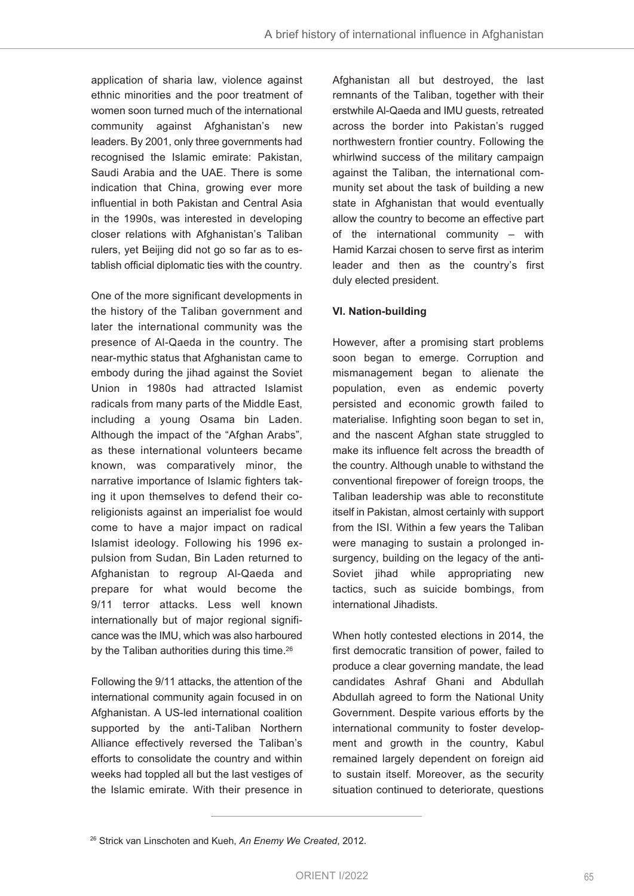application of sharia law, violence against ethnic minorities and the poor treatment of women soon turned much of the international community against Afghanistan's new leaders. By 2001, only three governments had recognised the Islamic emirate: Pakistan, Saudi Arabia and the UAE. There is some indication that China, growing ever more influential in both Pakistan and Central Asia in the 1990s, was interested in developing closer relations with Afghanistan's Taliban rulers, yet Beijing did not go so far as to establish official diplomatic ties with the country.

One of the more significant developments in the history of the Taliban government and later the international community was the presence of Al-Qaeda in the country. The near-mythic status that Afghanistan came to embody during the jihad against the Soviet Union in 1980s had attracted Islamist radicals from many parts of the Middle East, including a young Osama bin Laden. Although the impact of the "Afghan Arabs", as these international volunteers became known, was comparatively minor, the narrative importance of Islamic fighters taking it upon themselves to defend their coreligionists against an imperialist foe would come to have a major impact on radical Islamist ideology. Following his 1996 expulsion from Sudan, Bin Laden returned to Afghanistan to regroup Al-Qaeda and prepare for what would become the 9/11 terror attacks. Less well known internationally but of major regional significance was the IMU, which was also harboured by the Taliban authorities during this time. 26

Following the 9/11 attacks, the attention of the international community again focused in on Afghanistan. A US-led international coalition supported by the anti-Taliban Northern Alliance effectively reversed the Taliban's efforts to consolidate the country and within weeks had toppled all but the last vestiges of the Islamic emirate. With their presence in

Afghanistan all but destroyed, the last remnants of the Taliban, together with their erstwhile Al-Qaeda and IMU guests, retreated across the border into Pakistan's rugged northwestern frontier country. Following the whirlwind success of the military campaign against the Taliban, the international community set about the task of building a new state in Afghanistan that would eventually allow the country to become an effective part of the international community – with Hamid Karzai chosen to serve first as interim leader and then as the country's first duly elected president.

## **VI. Nation-building**

However, after a promising start problems soon began to emerge. Corruption and mismanagement began to alienate the population, even as endemic poverty persisted and economic growth failed to materialise. Infighting soon began to set in, and the nascent Afghan state struggled to make its influence felt across the breadth of the country. Although unable to withstand the conventional firepower of foreign troops, the Taliban leadership was able to reconstitute itself in Pakistan, almost certainly with support from the ISI. Within a few years the Taliban were managing to sustain a prolonged insurgency, building on the legacy of the anti-Soviet jihad while appropriating new tactics, such as suicide bombings, from international Jihadists.

When hotly contested elections in 2014, the first democratic transition of power, failed to produce a clear governing mandate, the lead candidates Ashraf Ghani and Abdullah Abdullah agreed to form the National Unity Government. Despite various efforts by the international community to foster development and growth in the country, Kabul remained largely dependent on foreign aid to sustain itself. Moreover, as the security situation continued to deteriorate, questions

<sup>26</sup> Strick van Linschoten and Kueh, *An Enemy We Created*, 2012.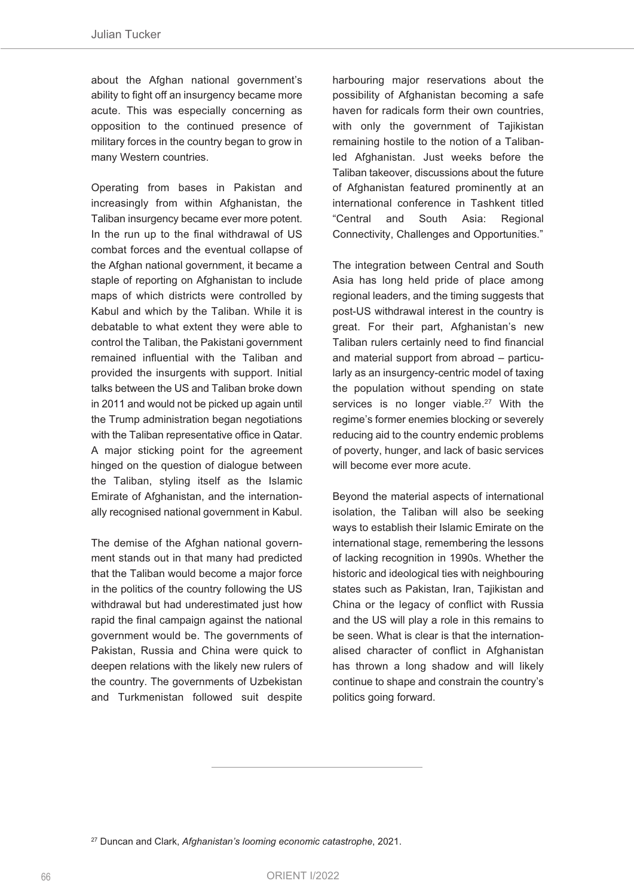about the Afghan national government's ability to fight off an insurgency became more acute. This was especially concerning as opposition to the continued presence of military forces in the country began to grow in many Western countries.

Operating from bases in Pakistan and increasingly from within Afghanistan, the Taliban insurgency became ever more potent. In the run up to the final withdrawal of US combat forces and the eventual collapse of the Afghan national government, it became a staple of reporting on Afghanistan to include maps of which districts were controlled by Kabul and which by the Taliban. While it is debatable to what extent they were able to control the Taliban, the Pakistani government remained influential with the Taliban and provided the insurgents with support. Initial talks between the US and Taliban broke down in 2011 and would not be picked up again until the Trump administration began negotiations with the Taliban representative office in Qatar. A major sticking point for the agreement hinged on the question of dialogue between the Taliban, styling itself as the Islamic Emirate of Afghanistan, and the internationally recognised national government in Kabul.

The demise of the Afghan national government stands out in that many had predicted that the Taliban would become a major force in the politics of the country following the US withdrawal but had underestimated just how rapid the final campaign against the national government would be. The governments of Pakistan, Russia and China were quick to deepen relations with the likely new rulers of the country. The governments of Uzbekistan and Turkmenistan followed suit despite

harbouring major reservations about the possibility of Afghanistan becoming a safe haven for radicals form their own countries, with only the government of Tajikistan remaining hostile to the notion of a Talibanled Afghanistan. Just weeks before the Taliban takeover, discussions about the future of Afghanistan featured prominently at an international conference in Tashkent titled "Central and South Asia: Regional Connectivity, Challenges and Opportunities."

The integration between Central and South Asia has long held pride of place among regional leaders, and the timing suggests that post-US withdrawal interest in the country is great. For their part, Afghanistan's new Taliban rulers certainly need to find financial and material support from abroad – particularly as an insurgency-centric model of taxing the population without spending on state services is no longer viable.<sup>27</sup> With the regime's former enemies blocking or severely reducing aid to the country endemic problems of poverty, hunger, and lack of basic services will become ever more acute.

Beyond the material aspects of international isolation, the Taliban will also be seeking ways to establish their Islamic Emirate on the international stage, remembering the lessons of lacking recognition in 1990s. Whether the historic and ideological ties with neighbouring states such as Pakistan, Iran, Tajikistan and China or the legacy of conflict with Russia and the US will play a role in this remains to be seen. What is clear is that the internationalised character of conflict in Afghanistan has thrown a long shadow and will likely continue to shape and constrain the country's politics going forward.

<sup>27</sup> Duncan and Clark, *Afghanistan's looming economic catastrophe*, 2021.